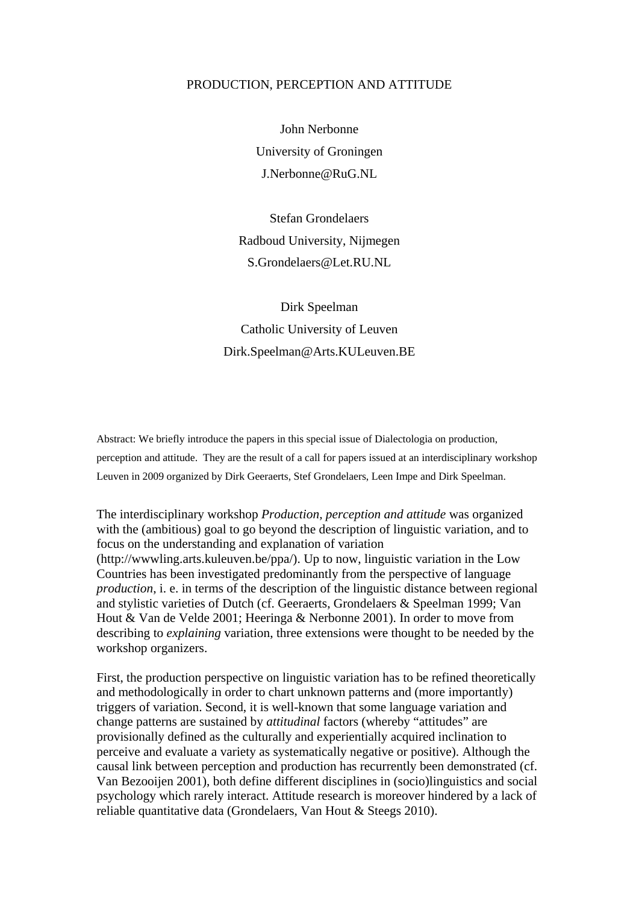### PRODUCTION, PERCEPTION AND ATTITUDE

John Nerbonne University of Groningen J.Nerbonne@RuG.NL

Stefan Grondelaers Radboud University, Nijmegen S.Grondelaers@Let.RU.NL

Dirk Speelman Catholic University of Leuven Dirk.Speelman@Arts.KULeuven.BE

Abstract: We briefly introduce the papers in this special issue of Dialectologia on production, perception and attitude. They are the result of a call for papers issued at an interdisciplinary workshop Leuven in 2009 organized by Dirk Geeraerts, Stef Grondelaers, Leen Impe and Dirk Speelman.

The interdisciplinary workshop *Production, perception and attitude* was organized with the (ambitious) goal to go beyond the description of linguistic variation, and to focus on the understanding and explanation of variation (http://wwwling.arts.kuleuven.be/ppa/). Up to now, linguistic variation in the Low Countries has been investigated predominantly from the perspective of language *production*, i. e. in terms of the description of the linguistic distance between regional and stylistic varieties of Dutch (cf. Geeraerts, Grondelaers & Speelman 1999; Van Hout & Van de Velde 2001; Heeringa & Nerbonne 2001). In order to move from describing to *explaining* variation, three extensions were thought to be needed by the workshop organizers.

First, the production perspective on linguistic variation has to be refined theoretically and methodologically in order to chart unknown patterns and (more importantly) triggers of variation. Second, it is well-known that some language variation and change patterns are sustained by *attitudinal* factors (whereby "attitudes" are provisionally defined as the culturally and experientially acquired inclination to perceive and evaluate a variety as systematically negative or positive). Although the causal link between perception and production has recurrently been demonstrated (cf. Van Bezooijen 2001), both define different disciplines in (socio)linguistics and social psychology which rarely interact. Attitude research is moreover hindered by a lack of reliable quantitative data (Grondelaers, Van Hout & Steegs 2010).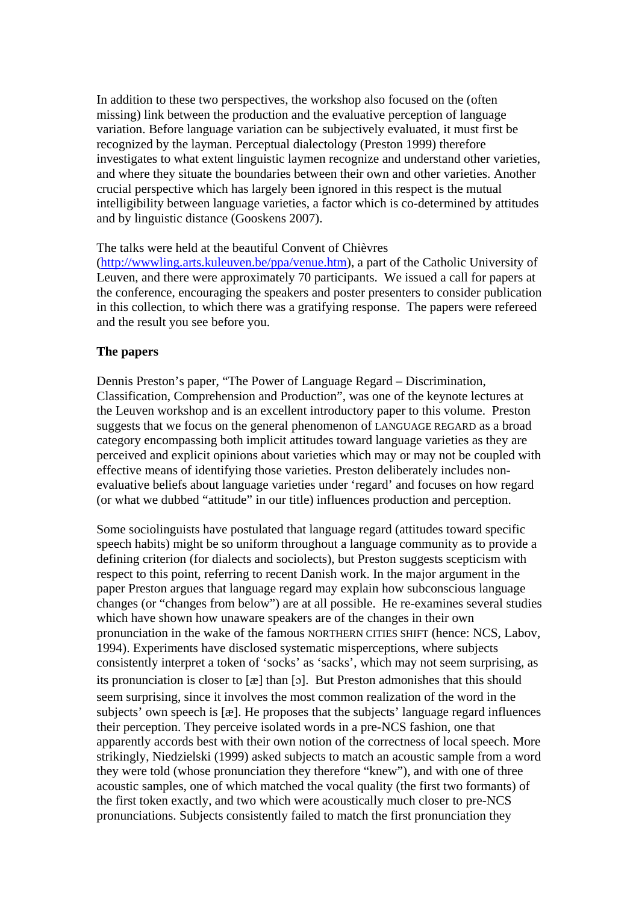In addition to these two perspectives, the workshop also focused on the (often missing) link between the production and the evaluative perception of language variation. Before language variation can be subjectively evaluated, it must first be recognized by the layman. Perceptual dialectology (Preston 1999) therefore investigates to what extent linguistic laymen recognize and understand other varieties, and where they situate the boundaries between their own and other varieties. Another crucial perspective which has largely been ignored in this respect is the mutual intelligibility between language varieties, a factor which is co-determined by attitudes and by linguistic distance (Gooskens 2007).

### The talks were held at the beautiful Convent of Chièvres

(<http://wwwling.arts.kuleuven.be/ppa/venue.htm>), a part of the Catholic University of Leuven, and there were approximately 70 participants. We issued a call for papers at the conference, encouraging the speakers and poster presenters to consider publication in this collection, to which there was a gratifying response. The papers were refereed and the result you see before you.

## **The papers**

Dennis Preston's paper, "The Power of Language Regard – Discrimination, Classification, Comprehension and Production", was one of the keynote lectures at the Leuven workshop and is an excellent introductory paper to this volume. Preston suggests that we focus on the general phenomenon of LANGUAGE REGARD as a broad category encompassing both implicit attitudes toward language varieties as they are perceived and explicit opinions about varieties which may or may not be coupled with effective means of identifying those varieties. Preston deliberately includes nonevaluative beliefs about language varieties under 'regard' and focuses on how regard (or what we dubbed "attitude" in our title) influences production and perception.

Some sociolinguists have postulated that language regard (attitudes toward specific speech habits) might be so uniform throughout a language community as to provide a defining criterion (for dialects and sociolects), but Preston suggests scepticism with respect to this point, referring to recent Danish work. In the major argument in the paper Preston argues that language regard may explain how subconscious language changes (or "changes from below") are at all possible. He re-examines several studies which have shown how unaware speakers are of the changes in their own pronunciation in the wake of the famous NORTHERN CITIES SHIFT (hence: NCS, Labov, 1994). Experiments have disclosed systematic misperceptions, where subjects consistently interpret a token of 'socks' as 'sacks', which may not seem surprising, as its pronunciation is closer to [æ] than [ɔ]. But Preston admonishes that this should seem surprising, since it involves the most common realization of the word in the subjects' own speech is [æ]. He proposes that the subjects' language regard influences their perception. They perceive isolated words in a pre-NCS fashion, one that apparently accords best with their own notion of the correctness of local speech. More strikingly, Niedzielski (1999) asked subjects to match an acoustic sample from a word they were told (whose pronunciation they therefore "knew"), and with one of three acoustic samples, one of which matched the vocal quality (the first two formants) of the first token exactly, and two which were acoustically much closer to pre-NCS pronunciations. Subjects consistently failed to match the first pronunciation they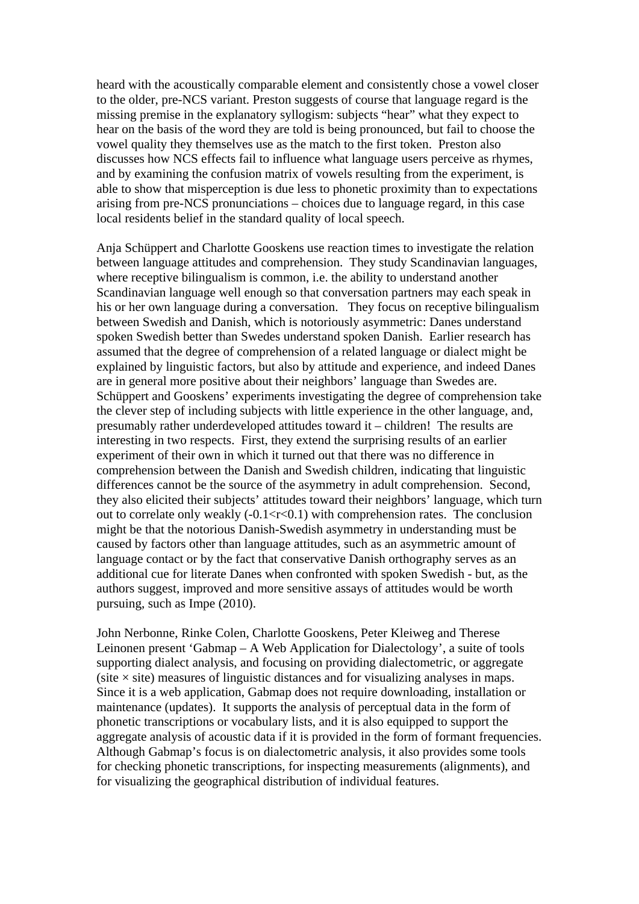heard with the acoustically comparable element and consistently chose a vowel closer to the older, pre-NCS variant. Preston suggests of course that language regard is the missing premise in the explanatory syllogism: subjects "hear" what they expect to hear on the basis of the word they are told is being pronounced, but fail to choose the vowel quality they themselves use as the match to the first token. Preston also discusses how NCS effects fail to influence what language users perceive as rhymes, and by examining the confusion matrix of vowels resulting from the experiment, is able to show that misperception is due less to phonetic proximity than to expectations arising from pre-NCS pronunciations – choices due to language regard, in this case local residents belief in the standard quality of local speech.

Anja Schüppert and Charlotte Gooskens use reaction times to investigate the relation between language attitudes and comprehension. They study Scandinavian languages, where receptive bilingualism is common, i.e. the ability to understand another Scandinavian language well enough so that conversation partners may each speak in his or her own language during a conversation. They focus on receptive bilingualism between Swedish and Danish, which is notoriously asymmetric: Danes understand spoken Swedish better than Swedes understand spoken Danish. Earlier research has assumed that the degree of comprehension of a related language or dialect might be explained by linguistic factors, but also by attitude and experience, and indeed Danes are in general more positive about their neighbors' language than Swedes are. Schüppert and Gooskens' experiments investigating the degree of comprehension take the clever step of including subjects with little experience in the other language, and, presumably rather underdeveloped attitudes toward it – children! The results are interesting in two respects. First, they extend the surprising results of an earlier experiment of their own in which it turned out that there was no difference in comprehension between the Danish and Swedish children, indicating that linguistic differences cannot be the source of the asymmetry in adult comprehension. Second, they also elicited their subjects' attitudes toward their neighbors' language, which turn out to correlate only weakly  $(-0.1 < r < 0.1)$  with comprehension rates. The conclusion might be that the notorious Danish-Swedish asymmetry in understanding must be caused by factors other than language attitudes, such as an asymmetric amount of language contact or by the fact that conservative Danish orthography serves as an additional cue for literate Danes when confronted with spoken Swedish - but, as the authors suggest, improved and more sensitive assays of attitudes would be worth pursuing, such as Impe (2010).

John Nerbonne, Rinke Colen, Charlotte Gooskens, Peter Kleiweg and Therese Leinonen present 'Gabmap – A Web Application for Dialectology', a suite of tools supporting dialect analysis, and focusing on providing dialectometric, or aggregate  $(site \times site)$  measures of linguistic distances and for visualizing analyses in maps. Since it is a web application, Gabmap does not require downloading, installation or maintenance (updates). It supports the analysis of perceptual data in the form of phonetic transcriptions or vocabulary lists, and it is also equipped to support the aggregate analysis of acoustic data if it is provided in the form of formant frequencies. Although Gabmap's focus is on dialectometric analysis, it also provides some tools for checking phonetic transcriptions, for inspecting measurements (alignments), and for visualizing the geographical distribution of individual features.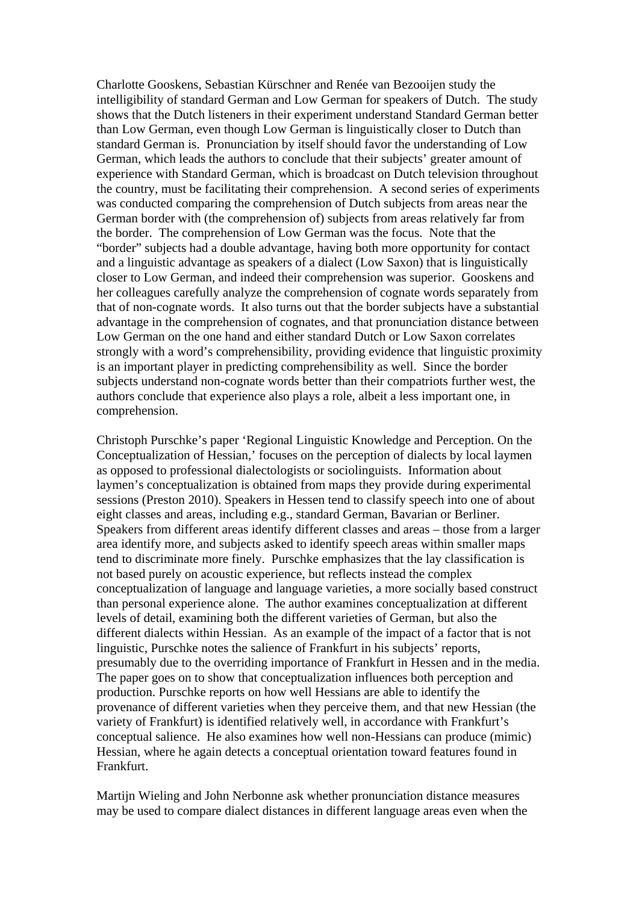Charlotte Gooskens, Sebastian Kürschner and Renée van Bezooijen study the intelligibility of standard German and Low German for speakers of Dutch. The study shows that the Dutch listeners in their experiment understand Standard German better than Low German, even though Low German is linguistically closer to Dutch than standard German is. Pronunciation by itself should favor the understanding of Low German, which leads the authors to conclude that their subjects' greater amount of experience with Standard German, which is broadcast on Dutch television throughout the country, must be facilitating their comprehension. A second series of experiments was conducted comparing the comprehension of Dutch subjects from areas near the German border with (the comprehension of) subjects from areas relatively far from the border. The comprehension of Low German was the focus. Note that the "border" subjects had a double advantage, having both more opportunity for contact and a linguistic advantage as speakers of a dialect (Low Saxon) that is linguistically closer to Low German, and indeed their comprehension was superior. Gooskens and her colleagues carefully analyze the comprehension of cognate words separately from that of non-cognate words. It also turns out that the border subjects have a substantial advantage in the comprehension of cognates, and that pronunciation distance between Low German on the one hand and either standard Dutch or Low Saxon correlates strongly with a word's comprehensibility, providing evidence that linguistic proximity is an important player in predicting comprehensibility as well. Since the border subjects understand non-cognate words better than their compatriots further west, the authors conclude that experience also plays a role, albeit a less important one, in comprehension.

Christoph Purschke's paper 'Regional Linguistic Knowledge and Perception. On the Conceptualization of Hessian,' focuses on the perception of dialects by local laymen as opposed to professional dialectologists or sociolinguists. Information about laymen's conceptualization is obtained from maps they provide during experimental sessions (Preston 2010). Speakers in Hessen tend to classify speech into one of about eight classes and areas, including e.g., standard German, Bavarian or Berliner. Speakers from different areas identify different classes and areas – those from a larger area identify more, and subjects asked to identify speech areas within smaller maps tend to discriminate more finely. Purschke emphasizes that the lay classification is not based purely on acoustic experience, but reflects instead the complex conceptualization of language and language varieties, a more socially based construct than personal experience alone. The author examines conceptualization at different levels of detail, examining both the different varieties of German, but also the different dialects within Hessian. As an example of the impact of a factor that is not linguistic, Purschke notes the salience of Frankfurt in his subjects' reports, presumably due to the overriding importance of Frankfurt in Hessen and in the media. The paper goes on to show that conceptualization influences both perception and production. Purschke reports on how well Hessians are able to identify the provenance of different varieties when they perceive them, and that new Hessian (the variety of Frankfurt) is identified relatively well, in accordance with Frankfurt's conceptual salience. He also examines how well non-Hessians can produce (mimic) Hessian, where he again detects a conceptual orientation toward features found in Frankfurt.

Martijn Wieling and John Nerbonne ask whether pronunciation distance measures may be used to compare dialect distances in different language areas even when the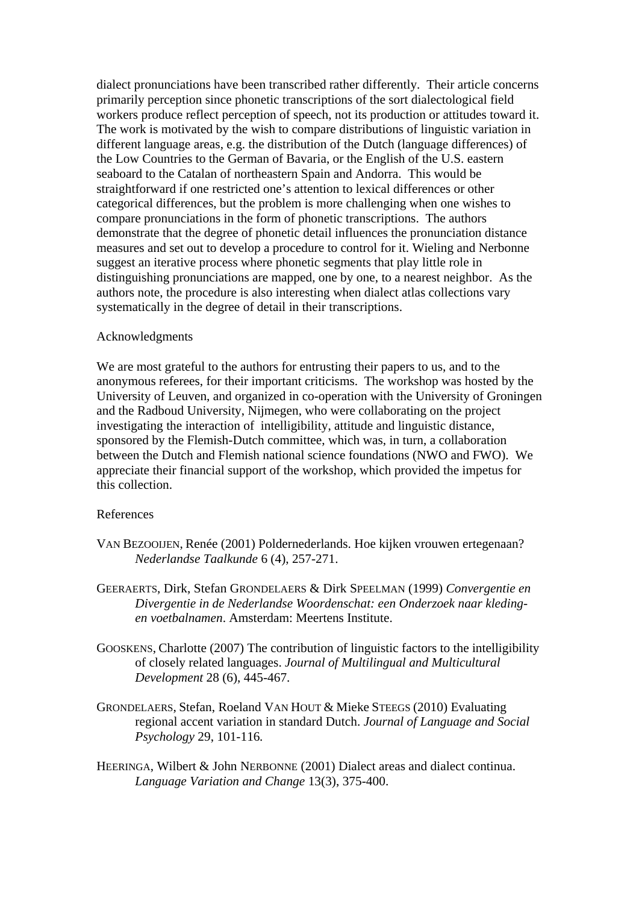dialect pronunciations have been transcribed rather differently. Their article concerns primarily perception since phonetic transcriptions of the sort dialectological field workers produce reflect perception of speech, not its production or attitudes toward it. The work is motivated by the wish to compare distributions of linguistic variation in different language areas, e.g. the distribution of the Dutch (language differences) of the Low Countries to the German of Bavaria, or the English of the U.S. eastern seaboard to the Catalan of northeastern Spain and Andorra. This would be straightforward if one restricted one's attention to lexical differences or other categorical differences, but the problem is more challenging when one wishes to compare pronunciations in the form of phonetic transcriptions. The authors demonstrate that the degree of phonetic detail influences the pronunciation distance measures and set out to develop a procedure to control for it. Wieling and Nerbonne suggest an iterative process where phonetic segments that play little role in distinguishing pronunciations are mapped, one by one, to a nearest neighbor. As the authors note, the procedure is also interesting when dialect atlas collections vary systematically in the degree of detail in their transcriptions.

#### Acknowledgments

We are most grateful to the authors for entrusting their papers to us, and to the anonymous referees, for their important criticisms. The workshop was hosted by the University of Leuven, and organized in co-operation with the University of Groningen and the Radboud University, Nijmegen, who were collaborating on the project investigating the interaction of intelligibility, attitude and linguistic distance, sponsored by the Flemish-Dutch committee, which was, in turn, a collaboration between the Dutch and Flemish national science foundations (NWO and FWO). We appreciate their financial support of the workshop, which provided the impetus for this collection.

# References

- VAN BEZOOIJEN, Renée (2001) Poldernederlands. Hoe kijken vrouwen ertegenaan? *Nederlandse Taalkunde* 6 (4), 257-271.
- GEERAERTS, Dirk, Stefan GRONDELAERS & Dirk SPEELMAN (1999) *Convergentie en Divergentie in de Nederlandse Woordenschat: een Onderzoek naar kledingen voetbalnamen*. Amsterdam: Meertens Institute.
- GOOSKENS, Charlotte (2007) The contribution of linguistic factors to the intelligibility of closely related languages. *Journal of Multilingual and Multicultural Development* 28 (6), 445-467.
- GRONDELAERS, Stefan, Roeland VAN HOUT & Mieke STEEGS (2010) Evaluating regional accent variation in standard Dutch. *Journal of Language and Social Psychology* 29, 101-116*.*
- HEERINGA, Wilbert & John NERBONNE (2001) Dialect areas and dialect continua. *Language Variation and Change* 13(3), 375-400.